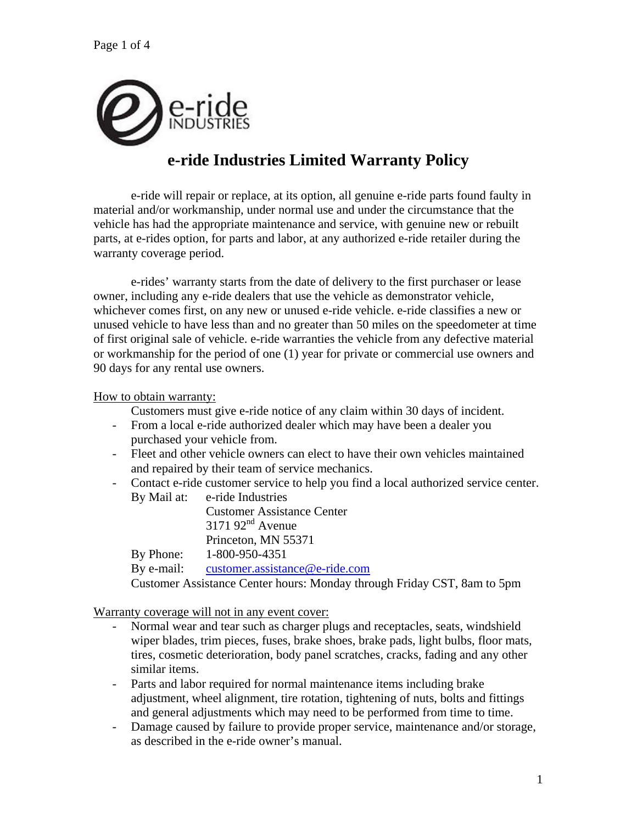

# **e-ride Industries Limited Warranty Policy**

 e-ride will repair or replace, at its option, all genuine e-ride parts found faulty in material and/or workmanship, under normal use and under the circumstance that the vehicle has had the appropriate maintenance and service, with genuine new or rebuilt parts, at e-rides option, for parts and labor, at any authorized e-ride retailer during the warranty coverage period.

 e-rides' warranty starts from the date of delivery to the first purchaser or lease owner, including any e-ride dealers that use the vehicle as demonstrator vehicle, whichever comes first, on any new or unused e-ride vehicle. e-ride classifies a new or unused vehicle to have less than and no greater than 50 miles on the speedometer at time of first original sale of vehicle. e-ride warranties the vehicle from any defective material or workmanship for the period of one (1) year for private or commercial use owners and 90 days for any rental use owners.

How to obtain warranty:

Customers must give e-ride notice of any claim within 30 days of incident.

- From a local e-ride authorized dealer which may have been a dealer you purchased your vehicle from.
- Fleet and other vehicle owners can elect to have their own vehicles maintained and repaired by their team of service mechanics.
- Contact e-ride customer service to help you find a local authorized service center. By Mail at: e-ride Industries

Customer Assistance Center  $317192<sup>nd</sup>$  Avenue Princeton, MN 55371 By Phone: 1-800-950-4351

By e-mail: customer.assistance@e-ride.com

Customer Assistance Center hours: Monday through Friday CST, 8am to 5pm

Warranty coverage will not in any event cover:

- Normal wear and tear such as charger plugs and receptacles, seats, windshield wiper blades, trim pieces, fuses, brake shoes, brake pads, light bulbs, floor mats, tires, cosmetic deterioration, body panel scratches, cracks, fading and any other similar items.
- Parts and labor required for normal maintenance items including brake adjustment, wheel alignment, tire rotation, tightening of nuts, bolts and fittings and general adjustments which may need to be performed from time to time.
- Damage caused by failure to provide proper service, maintenance and/or storage, as described in the e-ride owner's manual.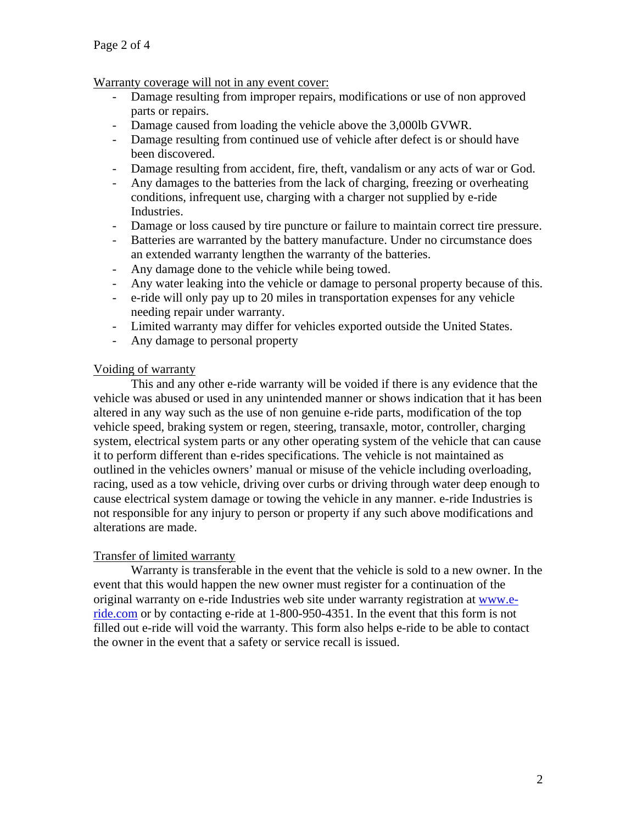Warranty coverage will not in any event cover:

- Damage resulting from improper repairs, modifications or use of non approved parts or repairs.
- Damage caused from loading the vehicle above the 3,000lb GVWR.
- Damage resulting from continued use of vehicle after defect is or should have been discovered.
- Damage resulting from accident, fire, theft, vandalism or any acts of war or God.
- Any damages to the batteries from the lack of charging, freezing or overheating conditions, infrequent use, charging with a charger not supplied by e-ride Industries.
- Damage or loss caused by tire puncture or failure to maintain correct tire pressure.
- Batteries are warranted by the battery manufacture. Under no circumstance does an extended warranty lengthen the warranty of the batteries.
- Any damage done to the vehicle while being towed.
- Any water leaking into the vehicle or damage to personal property because of this.
- e-ride will only pay up to 20 miles in transportation expenses for any vehicle needing repair under warranty.
- Limited warranty may differ for vehicles exported outside the United States.
- Any damage to personal property

## Voiding of warranty

 This and any other e-ride warranty will be voided if there is any evidence that the vehicle was abused or used in any unintended manner or shows indication that it has been altered in any way such as the use of non genuine e-ride parts, modification of the top vehicle speed, braking system or regen, steering, transaxle, motor, controller, charging system, electrical system parts or any other operating system of the vehicle that can cause it to perform different than e-rides specifications. The vehicle is not maintained as outlined in the vehicles owners' manual or misuse of the vehicle including overloading, racing, used as a tow vehicle, driving over curbs or driving through water deep enough to cause electrical system damage or towing the vehicle in any manner. e-ride Industries is not responsible for any injury to person or property if any such above modifications and alterations are made.

# Transfer of limited warranty

 Warranty is transferable in the event that the vehicle is sold to a new owner. In the event that this would happen the new owner must register for a continuation of the original warranty on e-ride Industries web site under warranty registration at www.eride.com or by contacting e-ride at 1-800-950-4351. In the event that this form is not filled out e-ride will void the warranty. This form also helps e-ride to be able to contact the owner in the event that a safety or service recall is issued.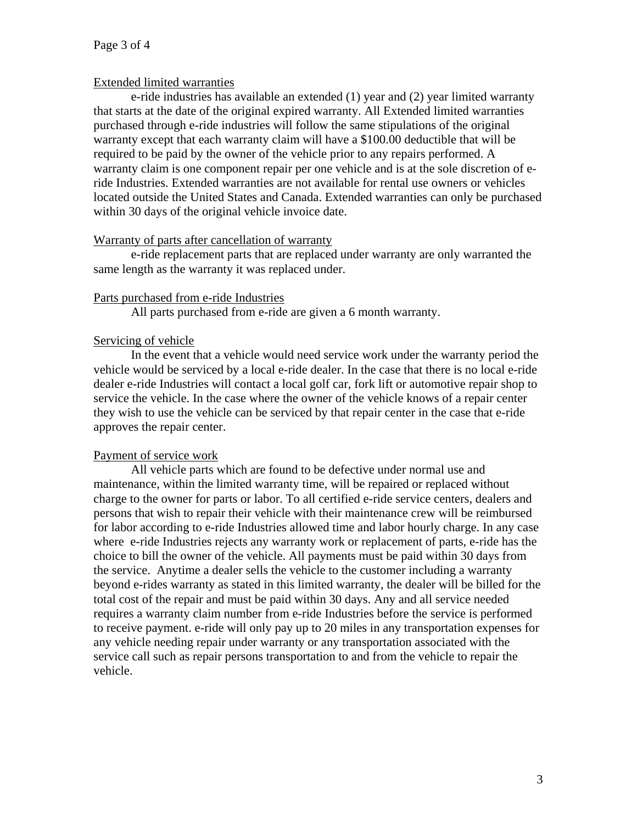## Extended limited warranties

 e-ride industries has available an extended (1) year and (2) year limited warranty that starts at the date of the original expired warranty. All Extended limited warranties purchased through e-ride industries will follow the same stipulations of the original warranty except that each warranty claim will have a \$100.00 deductible that will be required to be paid by the owner of the vehicle prior to any repairs performed. A warranty claim is one component repair per one vehicle and is at the sole discretion of eride Industries. Extended warranties are not available for rental use owners or vehicles located outside the United States and Canada. Extended warranties can only be purchased within 30 days of the original vehicle invoice date.

## Warranty of parts after cancellation of warranty

 e-ride replacement parts that are replaced under warranty are only warranted the same length as the warranty it was replaced under.

#### Parts purchased from e-ride Industries

All parts purchased from e-ride are given a 6 month warranty.

## Servicing of vehicle

 In the event that a vehicle would need service work under the warranty period the vehicle would be serviced by a local e-ride dealer. In the case that there is no local e-ride dealer e-ride Industries will contact a local golf car, fork lift or automotive repair shop to service the vehicle. In the case where the owner of the vehicle knows of a repair center they wish to use the vehicle can be serviced by that repair center in the case that e-ride approves the repair center.

# Payment of service work

 All vehicle parts which are found to be defective under normal use and maintenance, within the limited warranty time, will be repaired or replaced without charge to the owner for parts or labor. To all certified e-ride service centers, dealers and persons that wish to repair their vehicle with their maintenance crew will be reimbursed for labor according to e-ride Industries allowed time and labor hourly charge. In any case where e-ride Industries rejects any warranty work or replacement of parts, e-ride has the choice to bill the owner of the vehicle. All payments must be paid within 30 days from the service. Anytime a dealer sells the vehicle to the customer including a warranty beyond e-rides warranty as stated in this limited warranty, the dealer will be billed for the total cost of the repair and must be paid within 30 days. Any and all service needed requires a warranty claim number from e-ride Industries before the service is performed to receive payment. e-ride will only pay up to 20 miles in any transportation expenses for any vehicle needing repair under warranty or any transportation associated with the service call such as repair persons transportation to and from the vehicle to repair the vehicle.